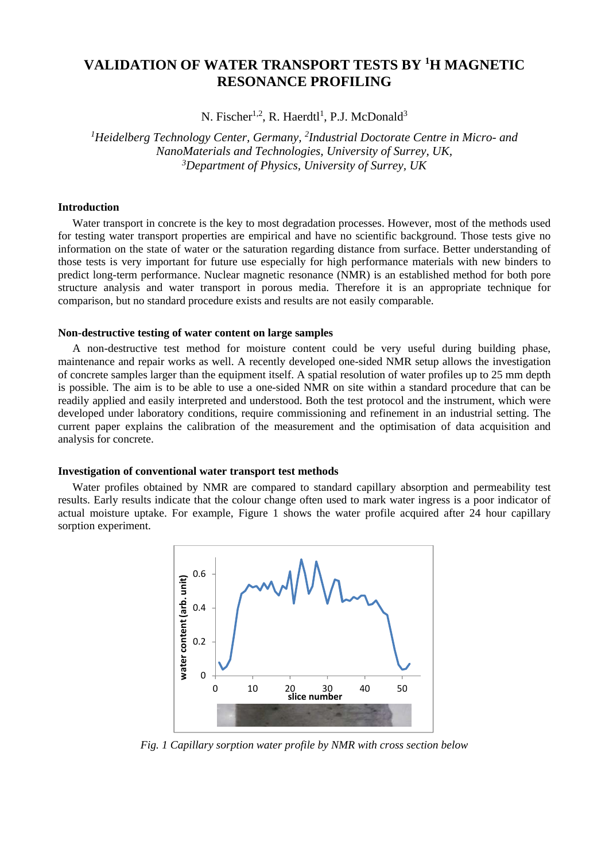# **VALIDATION OF WATER TRANSPORT TESTS BY <sup>1</sup> H MAGNETIC RESONANCE PROFILING**

N. Fischer<sup>1,2</sup>, R. Haerdtl<sup>1</sup>, P.J. McDonald<sup>3</sup>

*1Heidelberg Technology Center, Germany, 2Industrial Doctorate Centre in Micro- and NanoMaterials and Technologies, University of Surrey, UK, 3Department of Physics, University of Surrey, UK* 

### **Introduction**

Water transport in concrete is the key to most degradation processes. However, most of the methods used for testing water transport properties are empirical and have no scientific background. Those tests give no information on the state of water or the saturation regarding distance from surface. Better understanding of those tests is very important for future use especially for high performance materials with new binders to predict long-term performance. Nuclear magnetic resonance (NMR) is an established method for both pore structure analysis and water transport in porous media. Therefore it is an appropriate technique for comparison, but no standard procedure exists and results are not easily comparable.

#### **Non-destructive testing of water content on large samples**

A non-destructive test method for moisture content could be very useful during building phase, maintenance and repair works as well. A recently developed one-sided NMR setup allows the investigation of concrete samples larger than the equipment itself. A spatial resolution of water profiles up to 25 mm depth is possible. The aim is to be able to use a one-sided NMR on site within a standard procedure that can be readily applied and easily interpreted and understood. Both the test protocol and the instrument, which were developed under laboratory conditions, require commissioning and refinement in an industrial setting. The current paper explains the calibration of the measurement and the optimisation of data acquisition and analysis for concrete.

#### **Investigation of conventional water transport test methods**

Water profiles obtained by NMR are compared to standard capillary absorption and permeability test results. Early results indicate that the colour change often used to mark water ingress is a poor indicator of actual moisture uptake. For example, Figure 1 shows the water profile acquired after 24 hour capillary sorption experiment.



*Fig. 1 Capillary sorption water profile by NMR with cross section below*